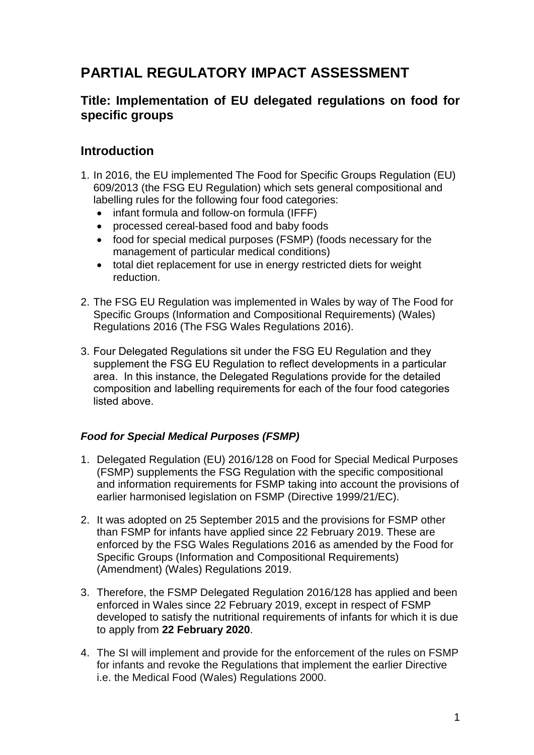# **PARTIAL REGULATORY IMPACT ASSESSMENT**

# **Title: Implementation of EU delegated regulations on food for specific groups**

## **Introduction**

- 1. In 2016, the EU implemented The Food for Specific Groups Regulation (EU) 609/2013 (the FSG EU Regulation) which sets general compositional and labelling rules for the following four food categories:
	- infant formula and follow-on formula (IFFF)
	- processed cereal-based food and baby foods
	- food for special medical purposes (FSMP) (foods necessary for the management of particular medical conditions)
	- total diet replacement for use in energy restricted diets for weight reduction.
- 2. The FSG EU Regulation was implemented in Wales by way of The Food for Specific Groups (Information and Compositional Requirements) (Wales) Regulations 2016 (The FSG Wales Regulations 2016).
- 3. Four Delegated Regulations sit under the FSG EU Regulation and they supplement the FSG EU Regulation to reflect developments in a particular area. In this instance, the Delegated Regulations provide for the detailed composition and labelling requirements for each of the four food categories listed above.

### *Food for Special Medical Purposes (FSMP)*

- 1. Delegated Regulation (EU) 2016/128 on Food for Special Medical Purposes (FSMP) supplements the FSG Regulation with the specific compositional and information requirements for FSMP taking into account the provisions of earlier harmonised legislation on FSMP (Directive 1999/21/EC).
- 2. It was adopted on 25 September 2015 and the provisions for FSMP other than FSMP for infants have applied since 22 February 2019. These are enforced by the FSG Wales Regulations 2016 as amended by the Food for Specific Groups (Information and Compositional Requirements) (Amendment) (Wales) Regulations 2019.
- 3. Therefore, the FSMP Delegated Regulation 2016/128 has applied and been enforced in Wales since 22 February 2019, except in respect of FSMP developed to satisfy the nutritional requirements of infants for which it is due to apply from **22 February 2020**.
- 4. The SI will implement and provide for the enforcement of the rules on FSMP for infants and revoke the Regulations that implement the earlier Directive i.e. the Medical Food (Wales) Regulations 2000.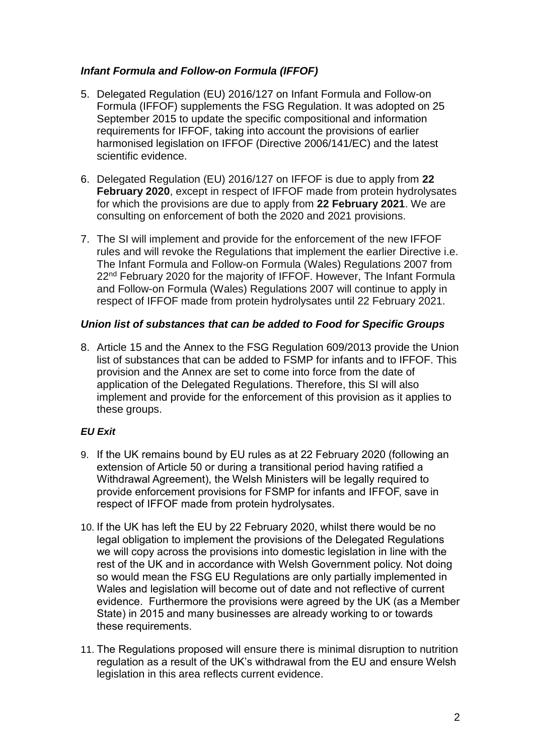### *Infant Formula and Follow-on Formula (IFFOF)*

- 5. Delegated Regulation (EU) 2016/127 on Infant Formula and Follow-on Formula (IFFOF) supplements the FSG Regulation. It was adopted on 25 September 2015 to update the specific compositional and information requirements for IFFOF, taking into account the provisions of earlier harmonised legislation on IFFOF (Directive 2006/141/EC) and the latest scientific evidence.
- 6. Delegated Regulation (EU) 2016/127 on IFFOF is due to apply from **22 February 2020**, except in respect of IFFOF made from protein hydrolysates for which the provisions are due to apply from **22 February 2021**. We are consulting on enforcement of both the 2020 and 2021 provisions.
- 7. The SI will implement and provide for the enforcement of the new IFFOF rules and will revoke the Regulations that implement the earlier Directive i.e. The Infant Formula and Follow-on Formula (Wales) Regulations 2007 from 22<sup>nd</sup> February 2020 for the majority of IFFOF. However, The Infant Formula and Follow-on Formula (Wales) Regulations 2007 will continue to apply in respect of IFFOF made from protein hydrolysates until 22 February 2021.

### *Union list of substances that can be added to Food for Specific Groups*

8. Article 15 and the Annex to the FSG Regulation 609/2013 provide the Union list of substances that can be added to FSMP for infants and to IFFOF. This provision and the Annex are set to come into force from the date of application of the Delegated Regulations. Therefore, this SI will also implement and provide for the enforcement of this provision as it applies to these groups.

### *EU Exit*

- 9. If the UK remains bound by EU rules as at 22 February 2020 (following an extension of Article 50 or during a transitional period having ratified a Withdrawal Agreement), the Welsh Ministers will be legally required to provide enforcement provisions for FSMP for infants and IFFOF, save in respect of IFFOF made from protein hydrolysates.
- 10. If the UK has left the EU by 22 February 2020, whilst there would be no legal obligation to implement the provisions of the Delegated Regulations we will copy across the provisions into domestic legislation in line with the rest of the UK and in accordance with Welsh Government policy. Not doing so would mean the FSG EU Regulations are only partially implemented in Wales and legislation will become out of date and not reflective of current evidence. Furthermore the provisions were agreed by the UK (as a Member State) in 2015 and many businesses are already working to or towards these requirements.
- 11. The Regulations proposed will ensure there is minimal disruption to nutrition regulation as a result of the UK's withdrawal from the EU and ensure Welsh legislation in this area reflects current evidence.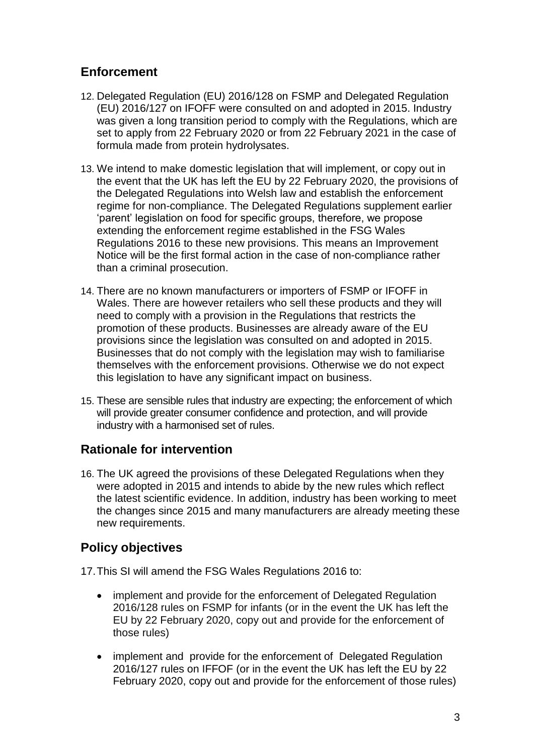# **Enforcement**

- 12. Delegated Regulation (EU) 2016/128 on FSMP and Delegated Regulation (EU) 2016/127 on IFOFF were consulted on and adopted in 2015. Industry was given a long transition period to comply with the Regulations, which are set to apply from 22 February 2020 or from 22 February 2021 in the case of formula made from protein hydrolysates.
- 13. We intend to make domestic legislation that will implement, or copy out in the event that the UK has left the EU by 22 February 2020, the provisions of the Delegated Regulations into Welsh law and establish the enforcement regime for non-compliance. The Delegated Regulations supplement earlier 'parent' legislation on food for specific groups, therefore, we propose extending the enforcement regime established in the FSG Wales Regulations 2016 to these new provisions. This means an Improvement Notice will be the first formal action in the case of non-compliance rather than a criminal prosecution.
- 14. There are no known manufacturers or importers of FSMP or IFOFF in Wales. There are however retailers who sell these products and they will need to comply with a provision in the Regulations that restricts the promotion of these products. Businesses are already aware of the EU provisions since the legislation was consulted on and adopted in 2015. Businesses that do not comply with the legislation may wish to familiarise themselves with the enforcement provisions. Otherwise we do not expect this legislation to have any significant impact on business.
- 15. These are sensible rules that industry are expecting; the enforcement of which will provide greater consumer confidence and protection, and will provide industry with a harmonised set of rules.

# **Rationale for intervention**

16. The UK agreed the provisions of these Delegated Regulations when they were adopted in 2015 and intends to abide by the new rules which reflect the latest scientific evidence. In addition, industry has been working to meet the changes since 2015 and many manufacturers are already meeting these new requirements.

# **Policy objectives**

17.This SI will amend the FSG Wales Regulations 2016 to:

- implement and provide for the enforcement of Delegated Regulation 2016/128 rules on FSMP for infants (or in the event the UK has left the EU by 22 February 2020, copy out and provide for the enforcement of those rules)
- implement and provide for the enforcement of Delegated Regulation 2016/127 rules on IFFOF (or in the event the UK has left the EU by 22 February 2020, copy out and provide for the enforcement of those rules)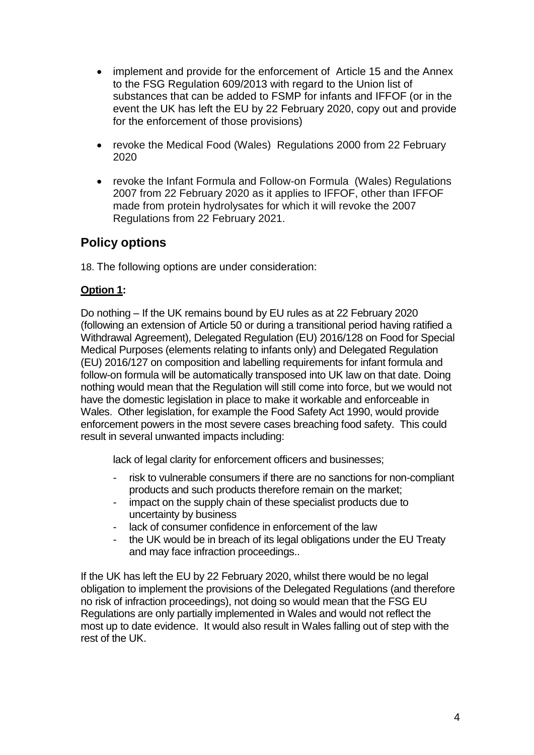- implement and provide for the enforcement of Article 15 and the Annex to the FSG Regulation 609/2013 with regard to the Union list of substances that can be added to FSMP for infants and IFFOF (or in the event the UK has left the EU by 22 February 2020, copy out and provide for the enforcement of those provisions)
- revoke the Medical Food (Wales) Regulations 2000 from 22 February 2020
- revoke the Infant Formula and Follow-on Formula (Wales) Regulations 2007 from 22 February 2020 as it applies to IFFOF, other than IFFOF made from protein hydrolysates for which it will revoke the 2007 Regulations from 22 February 2021.

# **Policy options**

18. The following options are under consideration:

### **Option 1:**

Do nothing – If the UK remains bound by EU rules as at 22 February 2020 (following an extension of Article 50 or during a transitional period having ratified a Withdrawal Agreement), Delegated Regulation (EU) 2016/128 on Food for Special Medical Purposes (elements relating to infants only) and Delegated Regulation (EU) 2016/127 on composition and labelling requirements for infant formula and follow-on formula will be automatically transposed into UK law on that date. Doing nothing would mean that the Regulation will still come into force, but we would not have the domestic legislation in place to make it workable and enforceable in Wales. Other legislation, for example the Food Safety Act 1990, would provide enforcement powers in the most severe cases breaching food safety. This could result in several unwanted impacts including:

lack of legal clarity for enforcement officers and businesses;

- risk to vulnerable consumers if there are no sanctions for non-compliant products and such products therefore remain on the market;
- impact on the supply chain of these specialist products due to uncertainty by business
- lack of consumer confidence in enforcement of the law
- the UK would be in breach of its legal obligations under the EU Treaty and may face infraction proceedings..

If the UK has left the EU by 22 February 2020, whilst there would be no legal obligation to implement the provisions of the Delegated Regulations (and therefore no risk of infraction proceedings), not doing so would mean that the FSG EU Regulations are only partially implemented in Wales and would not reflect the most up to date evidence. It would also result in Wales falling out of step with the rest of the UK.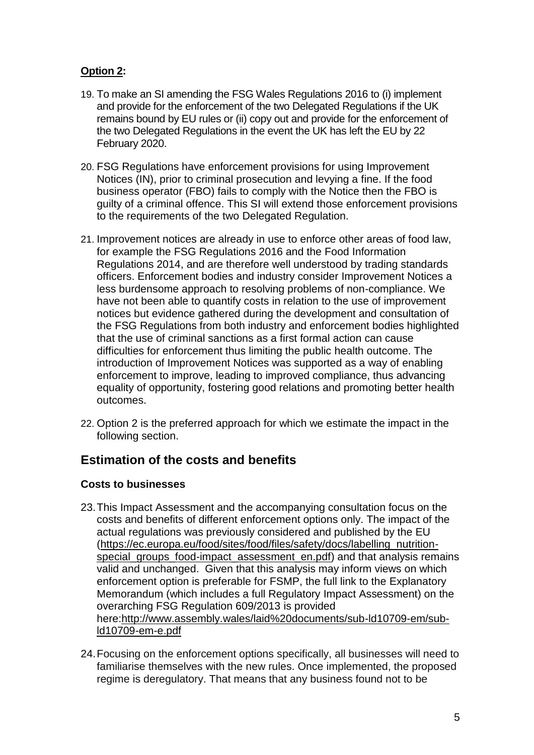### **Option 2:**

- 19. To make an SI amending the FSG Wales Regulations 2016 to (i) implement and provide for the enforcement of the two Delegated Regulations if the UK remains bound by EU rules or (ii) copy out and provide for the enforcement of the two Delegated Regulations in the event the UK has left the EU by 22 February 2020.
- 20. FSG Regulations have enforcement provisions for using Improvement Notices (IN), prior to criminal prosecution and levying a fine. If the food business operator (FBO) fails to comply with the Notice then the FBO is guilty of a criminal offence. This SI will extend those enforcement provisions to the requirements of the two Delegated Regulation.
- 21. Improvement notices are already in use to enforce other areas of food law, for example the FSG Regulations 2016 and the Food Information Regulations 2014, and are therefore well understood by trading standards officers. Enforcement bodies and industry consider Improvement Notices a less burdensome approach to resolving problems of non-compliance. We have not been able to quantify costs in relation to the use of improvement notices but evidence gathered during the development and consultation of the FSG Regulations from both industry and enforcement bodies highlighted that the use of criminal sanctions as a first formal action can cause difficulties for enforcement thus limiting the public health outcome. The introduction of Improvement Notices was supported as a way of enabling enforcement to improve, leading to improved compliance, thus advancing equality of opportunity, fostering good relations and promoting better health outcomes.
- 22. Option 2 is the preferred approach for which we estimate the impact in the following section.

# **Estimation of the costs and benefits**

### **Costs to businesses**

- 23.This Impact Assessment and the accompanying consultation focus on the costs and benefits of different enforcement options only. The impact of the actual regulations was previously considered and published by the EU [\(https://ec.europa.eu/food/sites/food/files/safety/docs/labelling\\_nutrition](https://ec.europa.eu/food/sites/food/files/safety/docs/labelling_nutrition-special_groups_food-impact_assessment_en.pdf)special groups food-impact assessment en.pdf) and that analysis remains valid and unchanged. Given that this analysis may inform views on which enforcement option is preferable for FSMP, the full link to the Explanatory Memorandum (which includes a full Regulatory Impact Assessment) on the overarching FSG Regulation 609/2013 is provided here[:http://www.assembly.wales/laid%20documents/sub-ld10709-em/sub](http://www.assembly.wales/laid%20documents/sub-ld10709-em/sub-ld10709-em-e.pdf)[ld10709-em-e.pdf](http://www.assembly.wales/laid%20documents/sub-ld10709-em/sub-ld10709-em-e.pdf)
- 24.Focusing on the enforcement options specifically, all businesses will need to familiarise themselves with the new rules. Once implemented, the proposed regime is deregulatory. That means that any business found not to be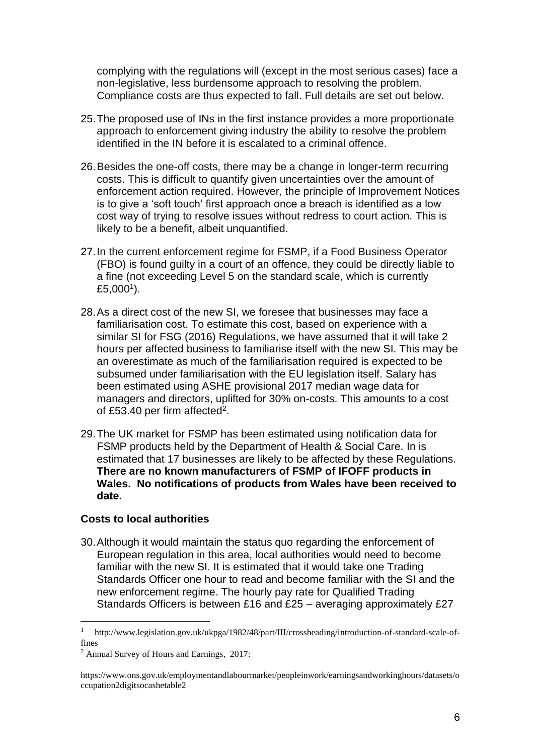complying with the regulations will (except in the most serious cases) face a non-legislative, less burdensome approach to resolving the problem. Compliance costs are thus expected to fall. Full details are set out below.

- 25.The proposed use of INs in the first instance provides a more proportionate approach to enforcement giving industry the ability to resolve the problem identified in the IN before it is escalated to a criminal offence.
- 26.Besides the one-off costs, there may be a change in longer-term recurring costs. This is difficult to quantify given uncertainties over the amount of enforcement action required. However, the principle of Improvement Notices is to give a 'soft touch' first approach once a breach is identified as a low cost way of trying to resolve issues without redress to court action. This is likely to be a benefit, albeit unquantified.
- 27.In the current enforcement regime for FSMP, if a Food Business Operator (FBO) is found guilty in a court of an offence, they could be directly liable to a fine (not exceeding Level 5 on the standard scale, which is currently £5,000<sup>1</sup>).
- 28.As a direct cost of the new SI, we foresee that businesses may face a familiarisation cost. To estimate this cost, based on experience with a similar SI for FSG (2016) Regulations, we have assumed that it will take 2 hours per affected business to familiarise itself with the new SI. This may be an overestimate as much of the familiarisation required is expected to be subsumed under familiarisation with the EU legislation itself. Salary has been estimated using ASHE provisional 2017 median wage data for managers and directors, uplifted for 30% on-costs. This amounts to a cost of £53.40 per firm affected<sup>2</sup>.
- 29.The UK market for FSMP has been estimated using notification data for FSMP products held by the Department of Health & Social Care. In is estimated that 17 businesses are likely to be affected by these Regulations. **There are no known manufacturers of FSMP of IFOFF products in Wales. No notifications of products from Wales have been received to date.**

#### **Costs to local authorities**

1

30.Although it would maintain the status quo regarding the enforcement of European regulation in this area, local authorities would need to become familiar with the new SI. It is estimated that it would take one Trading Standards Officer one hour to read and become familiar with the SI and the new enforcement regime. The hourly pay rate for Qualified Trading Standards Officers is between £16 and £25 – averaging approximately £27

<sup>1</sup> http://www.legislation.gov.uk/ukpga/1982/48/part/III/crossheading/introduction-of-standard-scale-offines

<sup>2</sup> Annual Survey of Hours and Earnings, 2017:

https://www.ons.gov.uk/employmentandlabourmarket/peopleinwork/earningsandworkinghours/datasets/o ccupation2digitsocashetable2